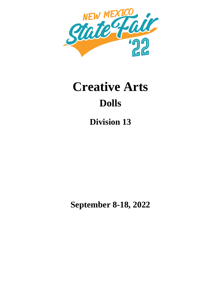

# **Creative Arts Dolls**

**Division 13**

**September 8-18, 2022**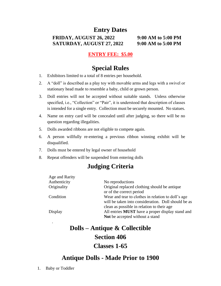## **Entry Dates**

**FRIDAY, AUGUST 26, 2022 9:00 AM to 5:00 PM SATURDAY, AUGUST 27, 2022 9:00 AM to 5:00 PM**

#### **ENTRY FEE: \$5.00**

#### **Special Rules**

- 1. Exhibitors limited to a total of 8 entries per household.
- 2. A "doll" is described as a play toy with movable arms and legs with a swivel or stationary head made to resemble a baby, child or grown person.
- 3. Doll entries will not be accepted without suitable stands. Unless otherwise specified, i.e., "Collection" or "Pair", it is understood that description of classes is intended for a single entry. Collection must be securely mounted. No statues.
- 4. Name on entry card will be concealed until after judging, so there will be no question regarding illegalities.
- 5. Dolls awarded ribbons are not eligible to compete again.
- 6. A person willfully re-entering a previous ribbon winning exhibit will be disqualified.
- 7. Dolls must be entered by legal owner of household
- 8. Repeat offenders will be suspended from entering dolls

#### **Judging Criteria**

| Age and Rarity |                                                         |
|----------------|---------------------------------------------------------|
| Authenticity   | No reproductions                                        |
| Originality    | Original replaced clothing should be antique            |
|                | or of the correct period                                |
| Condition      | Wear and tear to clothes in relation to doll's age      |
|                | will be taken into consideration. Doll should be as     |
|                | clean as possible in relation to their age.             |
| Display        | All entries <b>MUST</b> have a proper display stand and |
|                | Not be accepted without a stand                         |

# **Dolls – Antique & Collectible Section 406 Classes 1-65**

#### **Antique Dolls - Made Prior to 1900**

.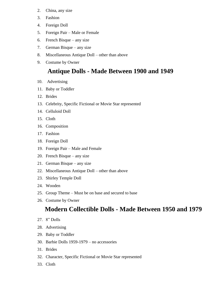- 2. China, any size
- 3. Fashion
- 4. Foreign Doll
- 5. Foreign Pair Male or Female
- 6. French Bisque any size
- 7. German Bisque any size
- 8. Miscellaneous Antique Doll other than above
- 9. Costume by Owner

## **Antique Dolls - Made Between 1900 and 1949**

- 10. Advertising
- 11. Baby or Toddler
- 12. Brides
- 13. Celebrity, Specific Fictional or Movie Star represented
- 14. Celluloid Doll
- 15. Cloth
- 16. Composition
- 17. Fashion
- 18. Foreign Doll
- 19. Foreign Pair Male and Female
- 20. French Bisque any size
- 21. German Bisque any size
- 22. Miscellaneous Antique Doll other than above
- 23. Shirley Temple Doll
- 24. Wooden
- 25. Group Theme Must be on base and secured to base
- 26. Costume by Owner

## **Modern Collectible Dolls - Made Between 1950 and 1979**

- 27. 8" Dolls
- 28. Advertising
- 29. Baby or Toddler
- 30. Barbie Dolls 1959-1979 no accessories
- 31. Brides
- 32. Character, Specific Fictional or Movie Star represented
- 33. Cloth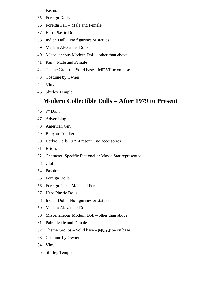#### 34. Fashion

- 35. Foreign Dolls
- 36. Foreign Pair Male and Female
- 37. Hard Plastic Dolls
- 38. Indian Doll No figurines or statues
- 39. Madam Alexander Dolls
- 40. Miscellaneous Modern Doll other than above
- 41. Pair Male and Female
- 42. Theme Groups Solid base **MUST** be on base
- 43. Costume by Owner
- 44. Vinyl
- 45. Shirley Temple

#### **Modern Collectible Dolls – After 1979 to Present**

- 46. 8" Dolls
- 47. Advertising
- 48. American Girl
- 49. Baby or Toddler
- 50. Barbie Dolls 1979-Present no accessories
- 51. Brides
- 52. Character, Specific Fictional or Movie Star represented
- 53. Cloth
- 54. Fashion
- 55. Foreign Dolls
- 56. Foreign Pair Male and Female
- 57. Hard Plastic Dolls
- 58. Indian Doll No figurines or statues
- 59. Madam Alexander Dolls
- 60. Miscellaneous Modern Doll other than above
- 61. Pair Male and Female
- 62. Theme Groups Solid base **MUST** be on base
- 63. Costume by Owner
- 64. Vinyl
- 65. Shirley Temple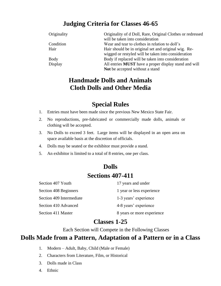## **Judging Criteria for Classes 46-65**

| Originality | Originality of d Doll, Rare, Original Clothes or redressed   |
|-------------|--------------------------------------------------------------|
|             | will be taken into consideration                             |
| Condition   | Wear and tear to clothes in relation to doll's               |
| Hair        | Hair should be in original set and original wig. Re-         |
|             | wigged or restyled will be taken into consideration          |
| <b>Body</b> | Body if replaced will be taken into consideration            |
| Display     | All entries <b>MUST</b> have a proper display stand and will |
|             | Not be accepted without a stand                              |

## **Handmade Dolls and Animals Cloth Dolls and Other Media**

## **Special Rules**

- 1. Entries must have been made since the previous New Mexico State Fair.
- 2. No reproductions, pre-fabricated or commercially made dolls, animals or clothing will be accepted.
- 3. No Dolls to exceed 3 feet. Large items will be displayed in an open area on space available basis at the discretion of officials.
- 4. Dolls may be seated or the exhibitor must provide a stand.
- 5. An exhibitor is limited to a total of 8 entries, one per class.

## **Dolls Sections 407-411**

| Section 407 Youth        | 17 years and under         |
|--------------------------|----------------------------|
| Section 408 Beginners    | 1 year or less experience  |
| Section 409 Intermediate | 1-3 years' experience      |
| Section 410 Advanced     | 4-8 years' experience      |
| Section 411 Master       | 8 years or more experience |

#### **Classes 1-25**

Each Section will Compete in the Following Classes

#### **Dolls Made from a Pattern, Adaptation of a Pattern or in a Class**

- 1. Modern Adult, Baby, Child (Male or Female)
- 2. Characters from Literature, Film, or Historical
- 3. Dolls made in Class
- 4. Ethnic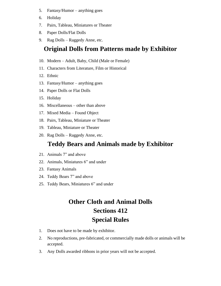- 5. Fantasy/Humor anything goes
- 6. Holiday
- 7. Pairs, Tableau, Miniatures or Theater
- 8. Paper Dolls/Flat Dolls
- 9. Rag Dolls Raggedy Anne, etc.

### **Original Dolls from Patterns made by Exhibitor**

- 10. Modern Adult, Baby, Child (Male or Female)
- 11. Characters from Literature, Film or Historical
- 12. Ethnic
- 13. Fantasy/Humor anything goes
- 14. Paper Dolls or Flat Dolls
- 15. Holiday
- 16. Miscellaneous other than above
- 17. Mixed Media Found Object
- 18. Pairs, Tableau, Miniature or Theater
- 19. Tableau, Miniature or Theater
- 20. Rag Dolls Raggedy Anne, etc.

### **Teddy Bears and Animals made by Exhibitor**

- 21. Animals 7" and above
- 22. Animals, Miniatures 6" and under
- 23. Fantasy Animals
- 24. Teddy Bears 7" and above
- 25. Teddy Bears, Miniatures 6" and under

## **Other Cloth and Animal Dolls Sections 412 Special Rules**

- 1. Does not have to be made by exhibitor.
- 2. No reproductions, pre-fabricated, or commercially made dolls or animals will be accepted.
- 3. Any Dolls awarded ribbons in prior years will not be accepted.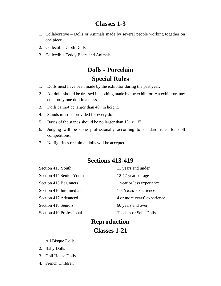#### **Classes 1-3**

- 1. Collaborative Dolls or Animals made by several people working together on one piece
- 2. Collectible Cloth Dolls
- 3. Collectible Teddy Bears and Animals

## **Dolls - Porcelain Special Rules**

- 1. Dolls must have been made by the exhibitor during the past year.
- 2. All dolls should be dressed in clothing made by the exhibitor. An exhibitor may enter only one doll in a class.
- 3. Dolls cannot be larger than 40" in height.
- 4. Stands must be provided for every doll.
- 5. Bases of the stands should be no larger than 13" x 13".
- 6. Judging will be done professionally according to standard rules for doll competitions.
- 7. No figurines or animal dolls will be accepted.

#### **Sections 413-419**

| Section 413 Youth        | 11 years and under            |
|--------------------------|-------------------------------|
| Section 414 Senior Youth | 12-17 years of age            |
| Section 415 Beginners    | 1 year or less experience     |
| Section 416 Intermediate | 1-3 Years' experience         |
| Section 417 Advanced     | 4 or more years' experience   |
| Section 418 Seniors      | 60 years and over             |
| Section 419 Professional | <b>Teaches or Sells Dolls</b> |
|                          |                               |

## **Reproduction**

#### **Classes 1-21**

- 1. All Bisque Dolls
- 2. Baby Dolls
- 3. Doll House Dolls
- 4. French Children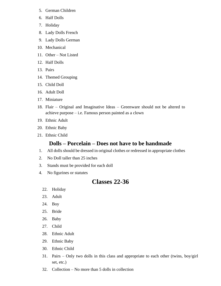- 5. German Children
- 6. Half Dolls
- 7. Holiday
- 8. Lady Dolls French
- 9. Lady Dolls German
- 10. Mechanical
- 11. Other Not Listed
- 12. Half Dolls
- 13. Pairs
- 14. Themed Grouping
- 15. Child Doll
- 16. Adult Doll
- 17. Miniature
- 18. Flair Original and Imaginative Ideas Greenware should not be altered to achieve purpose – i.e. Famous person painted as a clown
- 19. Ethnic Adult
- 20. Ethnic Baby
- 21. Ethnic Child

#### **Dolls – Porcelain – Does not have to be handmade**

- 1. All dolls should be dressed in original clothes or redressed in appropriate clothes
- 2. No Doll taller than 25 inches
- 3. Stands must be provided for each doll
- 4. No figurines or statutes

### **Classes 22-36**

- 22. Holiday
- 23. Adult
- 24. Boy
- 25. Bride
- 26. Baby
- 27. Child
- 28. Ethnic Adult
- 29. Ethnic Baby
- 30. Ethnic Child
- 31. Pairs Only two dolls in this class and appropriate to each other (twins, boy/girl set, etc.)
- 32. Collection No more than 5 dolls in collection